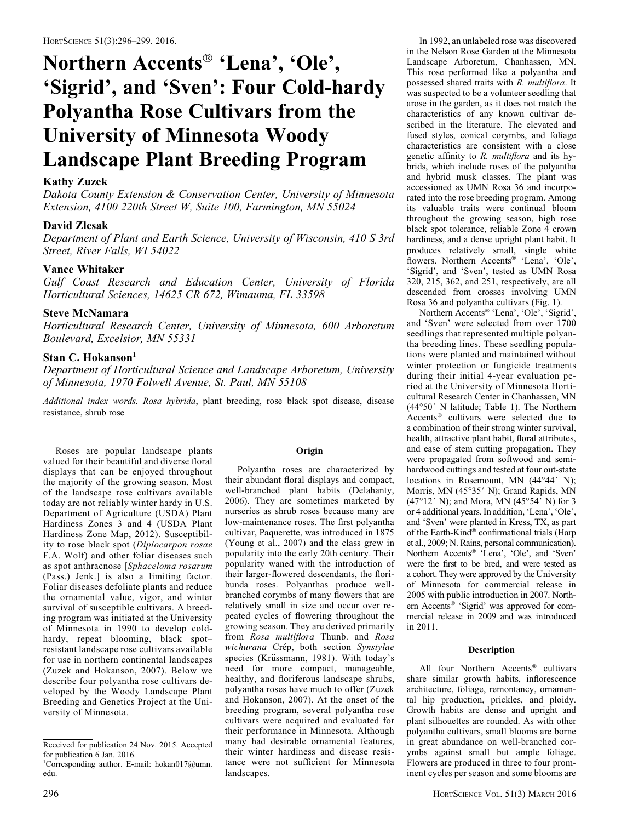# Northern Accents<sup>®</sup> 'Lena', 'Ole', 'Sigrid', and 'Sven': Four Cold-hardy Polyantha Rose Cultivars from the University of Minnesota Woody Landscape Plant Breeding Program

# Kathy Zuzek

Dakota County Extension & Conservation Center, University of Minnesota Extension, 4100 220th Street W, Suite 100, Farmington, MN 55024

## David Zlesak

Department of Plant and Earth Science, University of Wisconsin, 410 S 3rd Street, River Falls, WI 54022

# Vance Whitaker

Gulf Coast Research and Education Center, University of Florida Horticultural Sciences, 14625 CR 672, Wimauma, FL 33598

# Steve McNamara

Horticultural Research Center, University of Minnesota, 600 Arboretum Boulevard, Excelsior, MN 55331

## Stan C. Hokanson<sup>1</sup>

Department of Horticultural Science and Landscape Arboretum, University of Minnesota, 1970 Folwell Avenue, St. Paul, MN 55108

Additional index words. Rosa hybrida, plant breeding, rose black spot disease, disease resistance, shrub rose

Roses are popular landscape plants valued for their beautiful and diverse floral displays that can be enjoyed throughout the majority of the growing season. Most of the landscape rose cultivars available today are not reliably winter hardy in U.S. Department of Agriculture (USDA) Plant Hardiness Zones 3 and 4 (USDA Plant Hardiness Zone Map, 2012). Susceptibility to rose black spot (Diplocarpon rosae F.A. Wolf) and other foliar diseases such as spot anthracnose [Sphaceloma rosarum (Pass.) Jenk.] is also a limiting factor. Foliar diseases defoliate plants and reduce the ornamental value, vigor, and winter survival of susceptible cultivars. A breeding program was initiated at the University of Minnesota in 1990 to develop coldhardy, repeat blooming, black spot– resistant landscape rose cultivars available for use in northern continental landscapes (Zuzek and Hokanson, 2007). Below we describe four polyantha rose cultivars developed by the Woody Landscape Plant Breeding and Genetics Project at the University of Minnesota.

# **Origin**

Polyantha roses are characterized by their abundant floral displays and compact, well-branched plant habits (Delahanty, 2006). They are sometimes marketed by nurseries as shrub roses because many are low-maintenance roses. The first polyantha cultivar, Paquerette, was introduced in 1875 (Young et al., 2007) and the class grew in popularity into the early 20th century. Their popularity waned with the introduction of their larger-flowered descendants, the floribunda roses. Polyanthas produce wellbranched corymbs of many flowers that are relatively small in size and occur over repeated cycles of flowering throughout the growing season. They are derived primarily from Rosa multiflora Thunb. and Rosa wichurana Crép, both section Synstylae species (Krüssmann, 1981). With today's need for more compact, manageable, healthy, and floriferous landscape shrubs, polyantha roses have much to offer (Zuzek and Hokanson, 2007). At the onset of the breeding program, several polyantha rose cultivars were acquired and evaluated for their performance in Minnesota. Although many had desirable ornamental features, their winter hardiness and disease resistance were not sufficient for Minnesota landscapes.

In 1992, an unlabeled rose was discovered in the Nelson Rose Garden at the Minnesota Landscape Arboretum, Chanhassen, MN. This rose performed like a polyantha and possessed shared traits with R. multiflora. It was suspected to be a volunteer seedling that arose in the garden, as it does not match the characteristics of any known cultivar described in the literature. The elevated and fused styles, conical corymbs, and foliage characteristics are consistent with a close genetic affinity to R. multiflora and its hybrids, which include roses of the polyantha and hybrid musk classes. The plant was accessioned as UMN Rosa 36 and incorporated into the rose breeding program. Among its valuable traits were continual bloom throughout the growing season, high rose black spot tolerance, reliable Zone 4 crown hardiness, and a dense upright plant habit. It produces relatively small, single white flowers. Northern Accents<sup>®</sup> 'Lena', 'Ole', 'Sigrid', and 'Sven', tested as UMN Rosa 320, 215, 362, and 251, respectively, are all descended from crosses involving UMN Rosa 36 and polyantha cultivars (Fig. 1).

Northern Accents<sup>®</sup> 'Lena', 'Ole', 'Sigrid', and 'Sven' were selected from over 1700 seedlings that represented multiple polyantha breeding lines. These seedling populations were planted and maintained without winter protection or fungicide treatments during their initial 4-year evaluation period at the University of Minnesota Horticultural Research Center in Chanhassen, MN  $(44°50'$  N latitude; Table 1). The Northern Accents<sup>®</sup> cultivars were selected due to a combination of their strong winter survival, health, attractive plant habit, floral attributes, and ease of stem cutting propagation. They were propagated from softwood and semihardwood cuttings and tested at four out-state locations in Rosemount, MN  $(44^{\circ}44' \text{ N});$ Morris, MN (45°35' N); Grand Rapids, MN  $(47°12' \text{ N})$ ; and Mora, MN  $(45°54' \text{ N})$  for 3 or 4 additional years. In addition, 'Lena', 'Ole', and 'Sven' were planted in Kress, TX, as part of the Earth-Kind<sup>®</sup> confirmational trials (Harp et al., 2009; N. Rains, personal communication). Northern Accents® 'Lena', 'Ole', and 'Sven' were the first to be bred, and were tested as a cohort. They were approved by the University of Minnesota for commercial release in 2005 with public introduction in 2007. Northern Accents<sup>®</sup> 'Sigrid' was approved for commercial release in 2009 and was introduced in 2011.

## Description

All four Northern Accents<sup>®</sup> cultivars share similar growth habits, inflorescence architecture, foliage, remontancy, ornamental hip production, prickles, and ploidy. Growth habits are dense and upright and plant silhouettes are rounded. As with other polyantha cultivars, small blooms are borne in great abundance on well-branched corymbs against small but ample foliage. Flowers are produced in three to four prominent cycles per season and some blooms are

Received for publication 24 Nov. 2015. Accepted for publication 6 Jan. 2016. 1 Corresponding author. E-mail: hokan017@umn.

edu.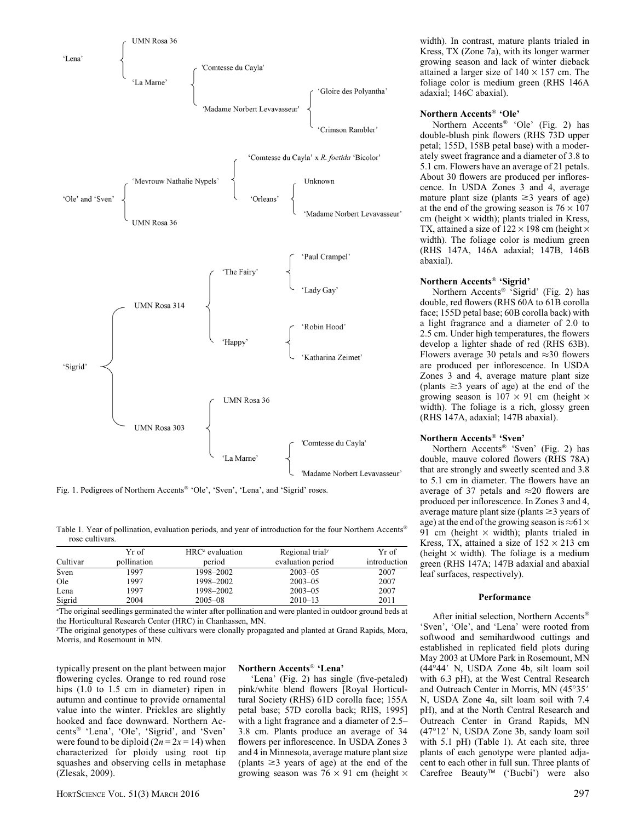

Fig. 1. Pedigrees of Northern Accents® 'Ole', 'Sven', 'Lena', and 'Sigrid' roses.

Table 1. Year of pollination, evaluation periods, and year of introduction for the four Northern Accents rose cultivars.

| Cultivar | Yr of<br>pollination | $HRCz$ evaluation<br>period | Regional trial <sup>y</sup><br>evaluation period | Yr of<br>introduction |
|----------|----------------------|-----------------------------|--------------------------------------------------|-----------------------|
| Sven     | 1997                 | 1998-2002                   | $2003 - 05$                                      | 2007                  |
| Ole      | 1997                 | 1998-2002                   | $2003 - 05$                                      | 2007                  |
| Lena     | 1997                 | 1998-2002                   | $2003 - 05$                                      | 2007                  |
| Sigrid   | 2004                 | $2005 - 08$                 | $2010 - 13$                                      | 2011                  |

z The original seedlings germinated the winter after pollination and were planted in outdoor ground beds at the Horticultural Research Center (HRC) in Chanhassen, MN.

y The original genotypes of these cultivars were clonally propagated and planted at Grand Rapids, Mora, Morris, and Rosemount in MN.

typically present on the plant between major flowering cycles. Orange to red round rose hips (1.0 to 1.5 cm in diameter) ripen in autumn and continue to provide ornamental value into the winter. Prickles are slightly hooked and face downward. Northern Accents<sup>®</sup> 'Lena', 'Ole', 'Sigrid', and 'Sven' were found to be diploid  $(2n = 2x = 14)$  when characterized for ploidy using root tip squashes and observing cells in metaphase (Zlesak, 2009).

## Northern Accents<sup>®</sup> 'Lena'

'Lena' (Fig. 2) has single (five-petaled) pink/white blend flowers [Royal Horticultural Society (RHS) 61D corolla face; 155A petal base; 57D corolla back; RHS, 1995] with a light fragrance and a diameter of 2.5– 3.8 cm. Plants produce an average of 34 flowers per inflorescence. In USDA Zones 3 and 4 in Minnesota, average mature plant size (plants  $\geq$ 3 years of age) at the end of the growing season was  $76 \times 91$  cm (height  $\times$  width). In contrast, mature plants trialed in Kress, TX (Zone 7a), with its longer warmer growing season and lack of winter dieback attained a larger size of  $140 \times 157$  cm. The foliage color is medium green (RHS 146A adaxial; 146C abaxial).

### Northern Accents<sup>®</sup> 'Ole'

Northern Accents<sup>®</sup> 'Ole' (Fig. 2) has double-blush pink flowers (RHS 73D upper petal; 155D, 158B petal base) with a moderately sweet fragrance and a diameter of 3.8 to 5.1 cm. Flowers have an average of 21 petals. About 30 flowers are produced per inflorescence. In USDA Zones 3 and 4, average mature plant size (plants  $\geq$ 3 years of age) at the end of the growing season is  $76 \times 107$ cm (height  $\times$  width); plants trialed in Kress, TX, attained a size of  $122 \times 198$  cm (height  $\times$ width). The foliage color is medium green (RHS 147A, 146A adaxial; 147B, 146B abaxial).

## Northern Accents<sup>®</sup> 'Sigrid'

Northern Accents<sup>®</sup> 'Sigrid' (Fig. 2) has double, red flowers (RHS 60A to 61B corolla face; 155D petal base; 60B corolla back) with a light fragrance and a diameter of 2.0 to 2.5 cm. Under high temperatures, the flowers develop a lighter shade of red (RHS 63B). Flowers average 30 petals and  $\approx$  30 flowers are produced per inflorescence. In USDA Zones 3 and 4, average mature plant size (plants  $\geq$ 3 years of age) at the end of the growing season is  $107 \times 91$  cm (height  $\times$ width). The foliage is a rich, glossy green (RHS 147A, adaxial; 147B abaxial).

## Northern Accents<sup>®</sup> 'Sven'

Northern Accents<sup>®</sup> 'Sven' (Fig. 2) has double, mauve colored flowers (RHS 78A) that are strongly and sweetly scented and 3.8 to 5.1 cm in diameter. The flowers have an average of 37 petals and  $\approx$  20 flowers are produced per inflorescence. In Zones 3 and 4, average mature plant size (plants  $\geq$ 3 years of age) at the end of the growing season is  $\approx 61 \times$ 91 cm (height  $\times$  width); plants trialed in Kress, TX, attained a size of  $152 \times 213$  cm (height  $\times$  width). The foliage is a medium green (RHS 147A; 147B adaxial and abaxial leaf surfaces, respectively).

#### Performance

After initial selection, Northern Accents 'Sven', 'Ole', and 'Lena' were rooted from softwood and semihardwood cuttings and established in replicated field plots during May 2003 at UMore Park in Rosemount, MN  $(44^{\circ}44'$  N, USDA Zone 4b, silt loam soil with 6.3 pH), at the West Central Research and Outreach Center in Morris, MN (45°35' N, USDA Zone 4a, silt loam soil with 7.4 pH), and at the North Central Research and Outreach Center in Grand Rapids, MN  $(47°12'$  N, USDA Zone 3b, sandy loam soil with 5.1 pH) (Table 1). At each site, three plants of each genotype were planted adjacent to each other in full sun. Three plants of Carefree Beauty<sup>™</sup> ('Bucbi') were also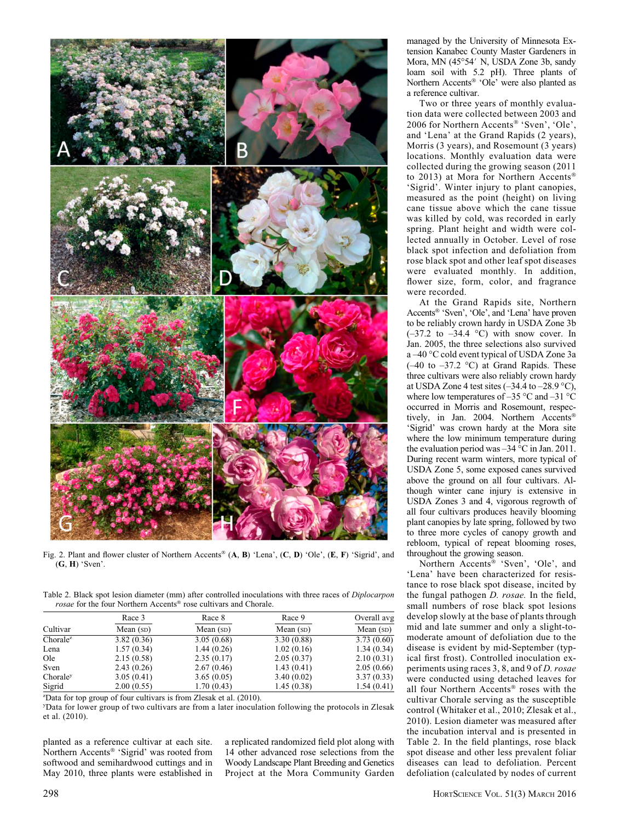

Fig. 2. Plant and flower cluster of Northern Accents<sup>®</sup> (A, B) 'Lena', (C, D) 'Ole', (E, F) 'Sigrid', and (G, H) 'Sven'.

Table 2. Black spot lesion diameter (mm) after controlled inoculations with three races of *Diplocarpon* rosae for the four Northern Accents® rose cultivars and Chorale.

| Cultivar | Race 3<br>Mean $(sD)$ | Race 8<br>Mean $(sD)$ | Race 9<br>Mean $(sD)$ | Overall avg<br>Mean $(sD)$ |
|----------|-----------------------|-----------------------|-----------------------|----------------------------|
|          |                       |                       |                       |                            |
| Lena     | 1.57(0.34)            | 1.44(0.26)            | 1.02(0.16)            | 1.34(0.34)                 |
| Ole      | 2.15(0.58)            | 2.35(0.17)            | 2.05(0.37)            | 2.10(0.31)                 |
| Sven     | 2.43(0.26)            | 2.67(0.46)            | 1.43(0.41)            | 2.05(0.66)                 |
| Choraley | 3.05(0.41)            | 3.65(0.05)            | 3.40(0.02)            | 3.37(0.33)                 |
| Sigrid   | 2.00(0.55)            | 1.70(0.43)            | 1.45(0.38)            | 1.54(0.41)                 |

z Data for top group of four cultivars is from Zlesak et al. (2010).

y Data for lower group of two cultivars are from a later inoculation following the protocols in Zlesak et al. (2010).

planted as a reference cultivar at each site. Northern Accents<sup>®</sup> 'Sigrid' was rooted from softwood and semihardwood cuttings and in May 2010, three plants were established in a replicated randomized field plot along with 14 other advanced rose selections from the Woody Landscape Plant Breeding and Genetics Project at the Mora Community Garden managed by the University of Minnesota Extension Kanabec County Master Gardeners in Mora, MN (45°54' N, USDA Zone 3b, sandy loam soil with 5.2 pH). Three plants of Northern Accents<sup>®</sup> 'Ole' were also planted as a reference cultivar.

Two or three years of monthly evaluation data were collected between 2003 and 2006 for Northern Accents® 'Sven', 'Ole', and 'Lena' at the Grand Rapids (2 years), Morris (3 years), and Rosemount (3 years) locations. Monthly evaluation data were collected during the growing season (2011 to 2013) at Mora for Northern Accents 'Sigrid'. Winter injury to plant canopies, measured as the point (height) on living cane tissue above which the cane tissue was killed by cold, was recorded in early spring. Plant height and width were collected annually in October. Level of rose black spot infection and defoliation from rose black spot and other leaf spot diseases were evaluated monthly. In addition, flower size, form, color, and fragrance were recorded.

At the Grand Rapids site, Northern Accents<sup>®</sup> 'Sven', 'Ole', and 'Lena' have proven to be reliably crown hardy in USDA Zone 3b  $(-37.2 \text{ to } -34.4 \text{ °C})$  with snow cover. In Jan. 2005, the three selections also survived a -40 °C cold event typical of USDA Zone 3a  $(-40 \text{ to } -37.2 \text{ °C})$  at Grand Rapids. These three cultivars were also reliably crown hardy at USDA Zone 4 test sites  $(-34.4$  to  $-28.9$  °C), where low temperatures of  $-35^{\circ}$ C and  $-31^{\circ}$ C occurred in Morris and Rosemount, respectively, in Jan. 2004. Northern Accents® 'Sigrid' was crown hardy at the Mora site where the low minimum temperature during the evaluation period was  $-34$  °C in Jan. 2011. During recent warm winters, more typical of USDA Zone 5, some exposed canes survived above the ground on all four cultivars. Although winter cane injury is extensive in USDA Zones 3 and 4, vigorous regrowth of all four cultivars produces heavily blooming plant canopies by late spring, followed by two to three more cycles of canopy growth and rebloom, typical of repeat blooming roses, throughout the growing season.

Northern Accents<sup>®</sup> 'Sven', 'Ole', and 'Lena' have been characterized for resistance to rose black spot disease, incited by the fungal pathogen D. rosae. In the field, small numbers of rose black spot lesions develop slowly at the base of plants through mid and late summer and only a slight-tomoderate amount of defoliation due to the disease is evident by mid-September (typical first frost). Controlled inoculation experiments using races 3, 8, and 9 of D. rosae were conducted using detached leaves for all four Northern Accents® roses with the cultivar Chorale serving as the susceptible control (Whitaker et al., 2010; Zlesak et al., 2010). Lesion diameter was measured after the incubation interval and is presented in Table 2. In the field plantings, rose black spot disease and other less prevalent foliar diseases can lead to defoliation. Percent defoliation (calculated by nodes of current